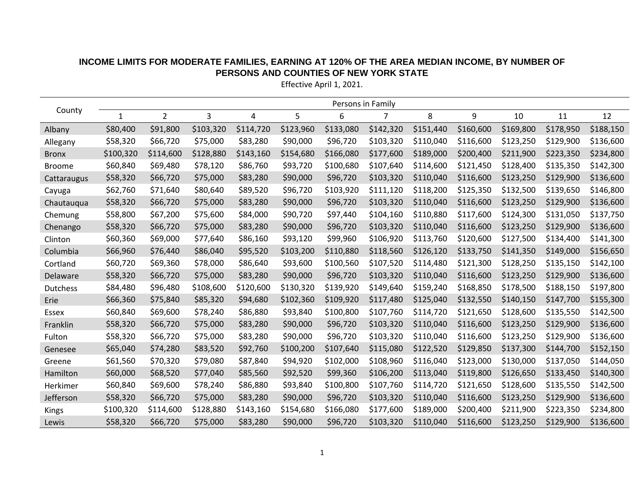| County          | Persons in Family |                |           |           |           |           |           |           |           |           |           |           |
|-----------------|-------------------|----------------|-----------|-----------|-----------|-----------|-----------|-----------|-----------|-----------|-----------|-----------|
|                 | $\mathbf{1}$      | $\overline{2}$ | 3         | 4         | 5         | 6         | 7         | 8         | 9         | 10        | 11        | 12        |
| Albany          | \$80,400          | \$91,800       | \$103,320 | \$114,720 | \$123,960 | \$133,080 | \$142,320 | \$151,440 | \$160,600 | \$169,800 | \$178,950 | \$188,150 |
| Allegany        | \$58,320          | \$66,720       | \$75,000  | \$83,280  | \$90,000  | \$96,720  | \$103,320 | \$110,040 | \$116,600 | \$123,250 | \$129,900 | \$136,600 |
| <b>Bronx</b>    | \$100,320         | \$114,600      | \$128,880 | \$143,160 | \$154,680 | \$166,080 | \$177,600 | \$189,000 | \$200,400 | \$211,900 | \$223,350 | \$234,800 |
| <b>Broome</b>   | \$60,840          | \$69,480       | \$78,120  | \$86,760  | \$93,720  | \$100,680 | \$107,640 | \$114,600 | \$121,450 | \$128,400 | \$135,350 | \$142,300 |
| Cattaraugus     | \$58,320          | \$66,720       | \$75,000  | \$83,280  | \$90,000  | \$96,720  | \$103,320 | \$110,040 | \$116,600 | \$123,250 | \$129,900 | \$136,600 |
| Cayuga          | \$62,760          | \$71,640       | \$80,640  | \$89,520  | \$96,720  | \$103,920 | \$111,120 | \$118,200 | \$125,350 | \$132,500 | \$139,650 | \$146,800 |
| Chautauqua      | \$58,320          | \$66,720       | \$75,000  | \$83,280  | \$90,000  | \$96,720  | \$103,320 | \$110,040 | \$116,600 | \$123,250 | \$129,900 | \$136,600 |
| Chemung         | \$58,800          | \$67,200       | \$75,600  | \$84,000  | \$90,720  | \$97,440  | \$104,160 | \$110,880 | \$117,600 | \$124,300 | \$131,050 | \$137,750 |
| Chenango        | \$58,320          | \$66,720       | \$75,000  | \$83,280  | \$90,000  | \$96,720  | \$103,320 | \$110,040 | \$116,600 | \$123,250 | \$129,900 | \$136,600 |
| Clinton         | \$60,360          | \$69,000       | \$77,640  | \$86,160  | \$93,120  | \$99,960  | \$106,920 | \$113,760 | \$120,600 | \$127,500 | \$134,400 | \$141,300 |
| Columbia        | \$66,960          | \$76,440       | \$86,040  | \$95,520  | \$103,200 | \$110,880 | \$118,560 | \$126,120 | \$133,750 | \$141,350 | \$149,000 | \$156,650 |
| Cortland        | \$60,720          | \$69,360       | \$78,000  | \$86,640  | \$93,600  | \$100,560 | \$107,520 | \$114,480 | \$121,300 | \$128,250 | \$135,150 | \$142,100 |
| Delaware        | \$58,320          | \$66,720       | \$75,000  | \$83,280  | \$90,000  | \$96,720  | \$103,320 | \$110,040 | \$116,600 | \$123,250 | \$129,900 | \$136,600 |
| <b>Dutchess</b> | \$84,480          | \$96,480       | \$108,600 | \$120,600 | \$130,320 | \$139,920 | \$149,640 | \$159,240 | \$168,850 | \$178,500 | \$188,150 | \$197,800 |
| Erie            | \$66,360          | \$75,840       | \$85,320  | \$94,680  | \$102,360 | \$109,920 | \$117,480 | \$125,040 | \$132,550 | \$140,150 | \$147,700 | \$155,300 |
| Essex           | \$60,840          | \$69,600       | \$78,240  | \$86,880  | \$93,840  | \$100,800 | \$107,760 | \$114,720 | \$121,650 | \$128,600 | \$135,550 | \$142,500 |
| Franklin        | \$58,320          | \$66,720       | \$75,000  | \$83,280  | \$90,000  | \$96,720  | \$103,320 | \$110,040 | \$116,600 | \$123,250 | \$129,900 | \$136,600 |
| Fulton          | \$58,320          | \$66,720       | \$75,000  | \$83,280  | \$90,000  | \$96,720  | \$103,320 | \$110,040 | \$116,600 | \$123,250 | \$129,900 | \$136,600 |
| Genesee         | \$65,040          | \$74,280       | \$83,520  | \$92,760  | \$100,200 | \$107,640 | \$115,080 | \$122,520 | \$129,850 | \$137,300 | \$144,700 | \$152,150 |
| Greene          | \$61,560          | \$70,320       | \$79,080  | \$87,840  | \$94,920  | \$102,000 | \$108,960 | \$116,040 | \$123,000 | \$130,000 | \$137,050 | \$144,050 |
| Hamilton        | \$60,000          | \$68,520       | \$77,040  | \$85,560  | \$92,520  | \$99,360  | \$106,200 | \$113,040 | \$119,800 | \$126,650 | \$133,450 | \$140,300 |
| Herkimer        | \$60,840          | \$69,600       | \$78,240  | \$86,880  | \$93,840  | \$100,800 | \$107,760 | \$114,720 | \$121,650 | \$128,600 | \$135,550 | \$142,500 |
| Jefferson       | \$58,320          | \$66,720       | \$75,000  | \$83,280  | \$90,000  | \$96,720  | \$103,320 | \$110,040 | \$116,600 | \$123,250 | \$129,900 | \$136,600 |
| Kings           | \$100,320         | \$114,600      | \$128,880 | \$143,160 | \$154,680 | \$166,080 | \$177,600 | \$189,000 | \$200,400 | \$211,900 | \$223,350 | \$234,800 |
| Lewis           | \$58,320          | \$66,720       | \$75,000  | \$83,280  | \$90,000  | \$96,720  | \$103,320 | \$110,040 | \$116,600 | \$123,250 | \$129,900 | \$136,600 |

## **INCOME LIMITS FOR MODERATE FAMILIES, EARNING AT 120% OF THE AREA MEDIAN INCOME, BY NUMBER OF PERSONS AND COUNTIES OF NEW YORK STATE**

Effective April 1, 2021.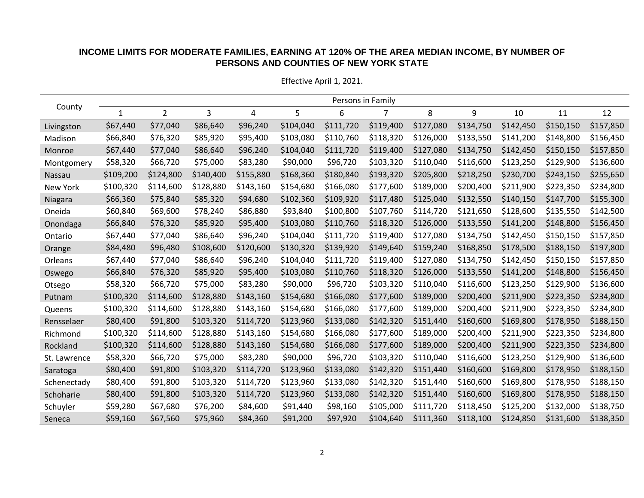## **INCOME LIMITS FOR MODERATE FAMILIES, EARNING AT 120% OF THE AREA MEDIAN INCOME, BY NUMBER OF PERSONS AND COUNTIES OF NEW YORK STATE**

| County       | Persons in Family |                |           |           |           |           |           |           |           |           |           |           |
|--------------|-------------------|----------------|-----------|-----------|-----------|-----------|-----------|-----------|-----------|-----------|-----------|-----------|
|              | 1                 | $\overline{2}$ | 3         | 4         | 5         | 6         |           | 8         | 9         | 10        | 11        | 12        |
| Livingston   | \$67,440          | \$77,040       | \$86,640  | \$96,240  | \$104,040 | \$111,720 | \$119,400 | \$127,080 | \$134,750 | \$142,450 | \$150,150 | \$157,850 |
| Madison      | \$66,840          | \$76,320       | \$85,920  | \$95,400  | \$103,080 | \$110,760 | \$118,320 | \$126,000 | \$133,550 | \$141,200 | \$148,800 | \$156,450 |
| Monroe       | \$67,440          | \$77,040       | \$86,640  | \$96,240  | \$104,040 | \$111,720 | \$119,400 | \$127,080 | \$134,750 | \$142,450 | \$150,150 | \$157,850 |
| Montgomery   | \$58,320          | \$66,720       | \$75,000  | \$83,280  | \$90,000  | \$96,720  | \$103,320 | \$110,040 | \$116,600 | \$123,250 | \$129,900 | \$136,600 |
| Nassau       | \$109,200         | \$124,800      | \$140,400 | \$155,880 | \$168,360 | \$180,840 | \$193,320 | \$205,800 | \$218,250 | \$230,700 | \$243,150 | \$255,650 |
| New York     | \$100,320         | \$114,600      | \$128,880 | \$143,160 | \$154,680 | \$166,080 | \$177,600 | \$189,000 | \$200,400 | \$211,900 | \$223,350 | \$234,800 |
| Niagara      | \$66,360          | \$75,840       | \$85,320  | \$94,680  | \$102,360 | \$109,920 | \$117,480 | \$125,040 | \$132,550 | \$140,150 | \$147,700 | \$155,300 |
| Oneida       | \$60,840          | \$69,600       | \$78,240  | \$86,880  | \$93,840  | \$100,800 | \$107,760 | \$114,720 | \$121,650 | \$128,600 | \$135,550 | \$142,500 |
| Onondaga     | \$66,840          | \$76,320       | \$85,920  | \$95,400  | \$103,080 | \$110,760 | \$118,320 | \$126,000 | \$133,550 | \$141,200 | \$148,800 | \$156,450 |
| Ontario      | \$67,440          | \$77,040       | \$86,640  | \$96,240  | \$104,040 | \$111,720 | \$119,400 | \$127,080 | \$134,750 | \$142,450 | \$150,150 | \$157,850 |
| Orange       | \$84,480          | \$96,480       | \$108,600 | \$120,600 | \$130,320 | \$139,920 | \$149,640 | \$159,240 | \$168,850 | \$178,500 | \$188,150 | \$197,800 |
| Orleans      | \$67,440          | \$77,040       | \$86,640  | \$96,240  | \$104,040 | \$111,720 | \$119,400 | \$127,080 | \$134,750 | \$142,450 | \$150,150 | \$157,850 |
| Oswego       | \$66,840          | \$76,320       | \$85,920  | \$95,400  | \$103,080 | \$110,760 | \$118,320 | \$126,000 | \$133,550 | \$141,200 | \$148,800 | \$156,450 |
| Otsego       | \$58,320          | \$66,720       | \$75,000  | \$83,280  | \$90,000  | \$96,720  | \$103,320 | \$110,040 | \$116,600 | \$123,250 | \$129,900 | \$136,600 |
| Putnam       | \$100,320         | \$114,600      | \$128,880 | \$143,160 | \$154,680 | \$166,080 | \$177,600 | \$189,000 | \$200,400 | \$211,900 | \$223,350 | \$234,800 |
| Queens       | \$100,320         | \$114,600      | \$128,880 | \$143,160 | \$154,680 | \$166,080 | \$177,600 | \$189,000 | \$200,400 | \$211,900 | \$223,350 | \$234,800 |
| Rensselaer   | \$80,400          | \$91,800       | \$103,320 | \$114,720 | \$123,960 | \$133,080 | \$142,320 | \$151,440 | \$160,600 | \$169,800 | \$178,950 | \$188,150 |
| Richmond     | \$100,320         | \$114,600      | \$128,880 | \$143,160 | \$154,680 | \$166,080 | \$177,600 | \$189,000 | \$200,400 | \$211,900 | \$223,350 | \$234,800 |
| Rockland     | \$100,320         | \$114,600      | \$128,880 | \$143,160 | \$154,680 | \$166,080 | \$177,600 | \$189,000 | \$200,400 | \$211,900 | \$223,350 | \$234,800 |
| St. Lawrence | \$58,320          | \$66,720       | \$75,000  | \$83,280  | \$90,000  | \$96,720  | \$103,320 | \$110,040 | \$116,600 | \$123,250 | \$129,900 | \$136,600 |
| Saratoga     | \$80,400          | \$91,800       | \$103,320 | \$114,720 | \$123,960 | \$133,080 | \$142,320 | \$151,440 | \$160,600 | \$169,800 | \$178,950 | \$188,150 |
| Schenectady  | \$80,400          | \$91,800       | \$103,320 | \$114,720 | \$123,960 | \$133,080 | \$142,320 | \$151,440 | \$160,600 | \$169,800 | \$178,950 | \$188,150 |
| Schoharie    | \$80,400          | \$91,800       | \$103,320 | \$114,720 | \$123,960 | \$133,080 | \$142,320 | \$151,440 | \$160,600 | \$169,800 | \$178,950 | \$188,150 |
| Schuyler     | \$59,280          | \$67,680       | \$76,200  | \$84,600  | \$91,440  | \$98,160  | \$105,000 | \$111,720 | \$118,450 | \$125,200 | \$132,000 | \$138,750 |
| Seneca       | \$59,160          | \$67,560       | \$75,960  | \$84,360  | \$91,200  | \$97,920  | \$104,640 | \$111,360 | \$118,100 | \$124,850 | \$131,600 | \$138,350 |

Effective April 1, 2021.